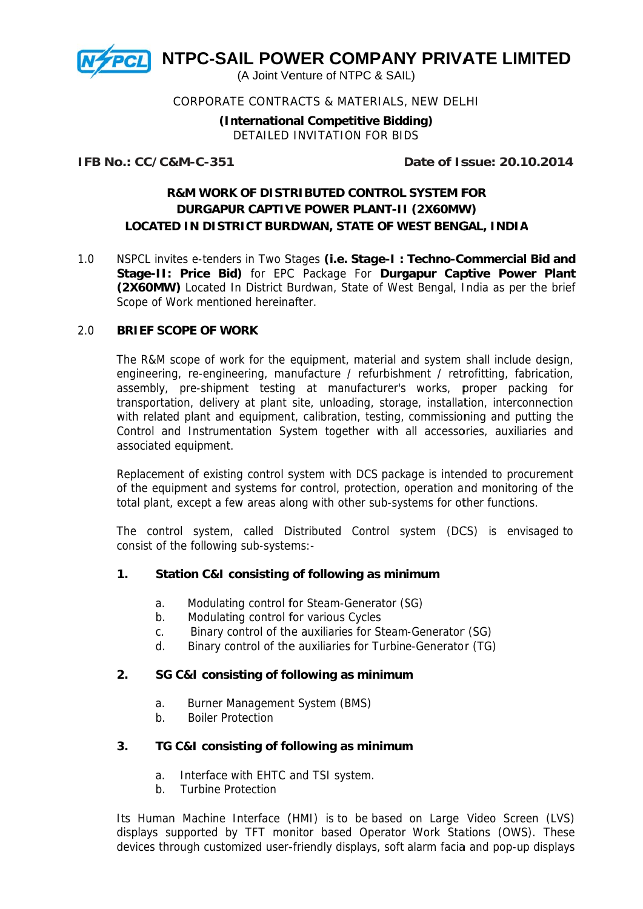

#### CORPORATE CONTRACTS & MATERIALS, NEW DELHI

**(In nternation nal Compe titive Bidd ding)**  DETAILED INVITATION FOR BIDS

**IFB No o.: CC/C& &M-C-351**

 **D Date of Is ssue: 20.1 10.2014**

## **R&M-C-351**<br>R&M WORK OF DISTRIBUTED CONTROL SYSTEM FOR LOCATED IN DISTRICT BURDWAN, STATE OF WEST BENGAL, INDIA **DURGAPUR CAPTIVE POWER PLANT-II (2X60MW)**

1.0 LOCATED IN DISTRICT BURDWAN, STATE OF WEST BENGAL, INDIA<br>NSPCL invites e-tenders in Two Stages (i.e. Stage-I : Techno-Commercial Bid and Stage-II: Price Bid) for EPC Package For Durgapur Captive Power Plant (2X60MW) Located In District Burdwan, State of West Bengal, India as per the brief Scope of Work mentioned hereinafter.

#### 2.0 **BRIEF SCOPE OF WORK**

The R&M scope of work for the equipment, material and system shall include design, engineering, re-engineering, manufacture / refurbishment / retrofitting, fabrication, assembly, pre-shipment testing at manufacturer's works, proper packing for transportation, delivery at plant site, unloading, storage, installation, interconnection with related plant and equipment, calibration, testing, commissioning and putting the Control and Instrumentation System together with all accessories, auxiliaries and associated equipment. .

Replacement of existing control system with DCS package is intended to procurement of the equipment and systems for control, protection, operation and monitoring of the total plant, except a few areas along with other sub-systems for other functions.

The control system, called Distributed Control system (DCS) is envisaged to consist of the following sub-systems:-

#### 1. Station C&I consisting of following as minimum

- a. Modulating control for Steam-Generator (SG)
- b. Modulating control for various Cycles
- c. Binary control of the auxiliaries for Steam-Generator (SG)
- d. Binary control of the auxiliaries for Turbine-Generator (TG)

#### 2. SG C&I consisting of following as minimum

- a. Burner Management System (BMS)
- b. Boiler Pr otection

# **3.** TG C&I consisting of following as minimum **mm**

- a. Interface with EHTC and TSI system.
- b. Turbine Protection

Its Human Machine Interface (HMI) is to be based on Large Video Screen (LVS) displays supported by TFT monitor based Operator Work Stations (OWS). These devices through customized user-friendly displays, soft alarm facia and pop-up displays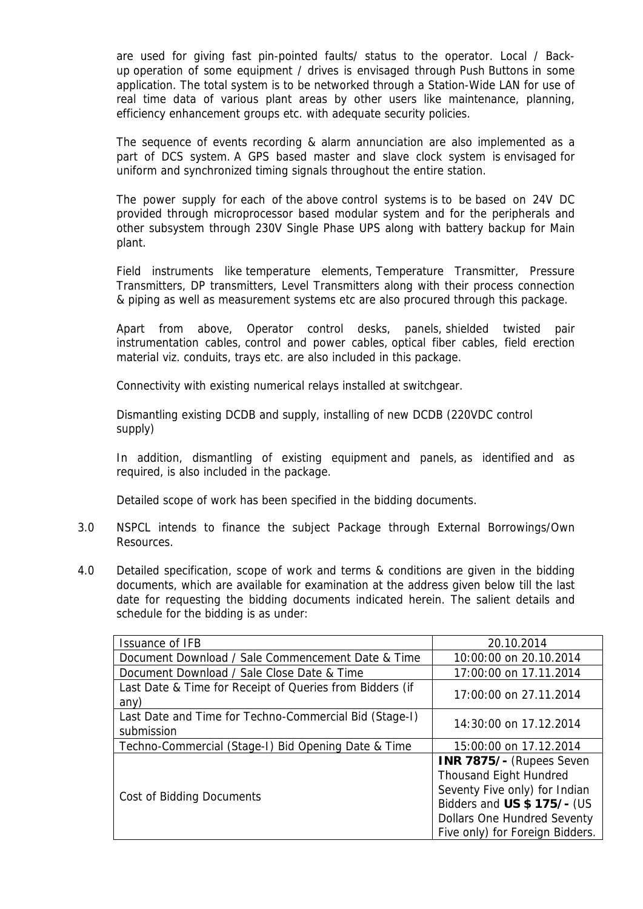are used for giving fast pin-pointed faults/ status to the operator. Local / Backup operation of some equipment / drives is envisaged through Push Buttons in some application. The total system is to be networked through a Station-Wide LAN for use of real time data of various plant areas by other users like maintenance, planning, efficiency enhancement groups etc. with adequate security policies.

The sequence of events recording & alarm annunciation are also implemented as a part of DCS system. A GPS based master and slave clock system is envisaged for uniform and synchronized timing signals throughout the entire station.

The power supply for each of the above control systems is to be based on 24V DC provided through microprocessor based modular system and for the peripherals and other subsystem through 230V Single Phase UPS along with battery backup for Main plant.

Field instruments like temperature elements, Temperature Transmitter, Pressure Transmitters, DP transmitters, Level Transmitters along with their process connection & piping as well as measurement systems etc are also procured through this package.

Apart from above, Operator control desks, panels, shielded twisted pair instrumentation cables, control and power cables, optical fiber cables, field erection material viz. conduits, trays etc. are also included in this package.

Connectivity with existing numerical relays installed at switchgear.

Dismantling existing DCDB and supply, installing of new DCDB (220VDC control supply)

In addition, dismantling of existing equipment and panels, as identified and as required, is also included in the package.

Detailed scope of work has been specified in the bidding documents.

- 3.0 NSPCL intends to finance the subject Package through External Borrowings/Own Resources.
- 4.0 Detailed specification, scope of work and terms & conditions are given in the bidding documents, which are available for examination at the address given below till the last date for requesting the bidding documents indicated herein. The salient details and schedule for the bidding is as under:

| Issuance of IFB                                                      | 20.10.2014                                                                                                                                                                                                |
|----------------------------------------------------------------------|-----------------------------------------------------------------------------------------------------------------------------------------------------------------------------------------------------------|
| Document Download / Sale Commencement Date & Time                    | 10:00:00 on 20.10.2014                                                                                                                                                                                    |
| Document Download / Sale Close Date & Time                           | 17:00:00 on 17.11.2014                                                                                                                                                                                    |
| Last Date & Time for Receipt of Queries from Bidders (if<br>any)     | 17:00:00 on 27.11.2014                                                                                                                                                                                    |
| Last Date and Time for Techno-Commercial Bid (Stage-I)<br>submission | 14:30:00 on 17.12.2014                                                                                                                                                                                    |
| Techno-Commercial (Stage-I) Bid Opening Date & Time                  | 15:00:00 on 17.12.2014                                                                                                                                                                                    |
| Cost of Bidding Documents                                            | <b>INR 7875/- (Rupees Seven</b><br><b>Thousand Eight Hundred</b><br>Seventy Five only) for Indian<br>Bidders and US \$ 175/- (US<br><b>Dollars One Hundred Seventy</b><br>Five only) for Foreign Bidders. |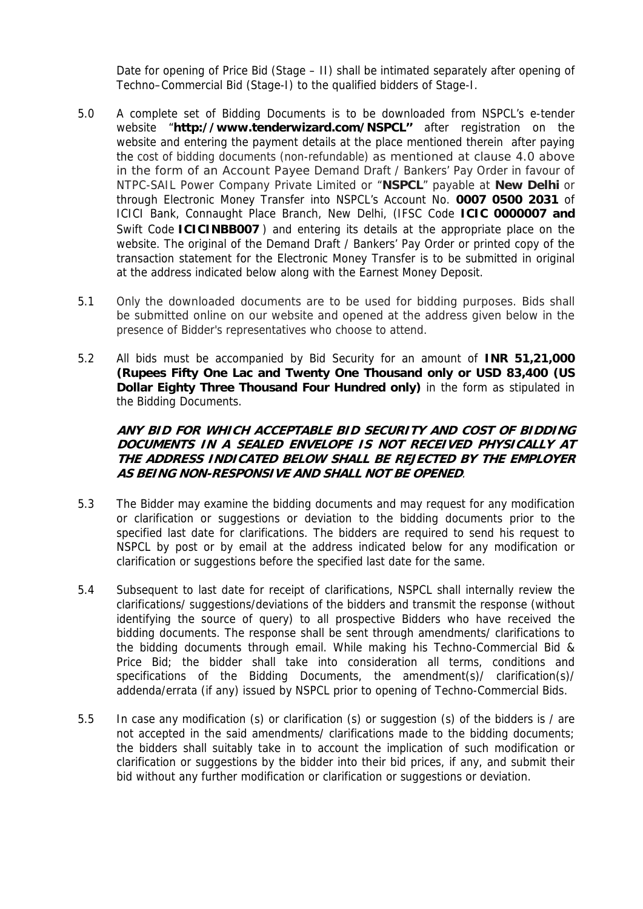Date for opening of Price Bid (Stage – II) shall be intimated separately after opening of Techno–Commercial Bid (Stage-I) to the qualified bidders of Stage-I.

- 5.0 A complete set of Bidding Documents is to be downloaded from NSPCL's e-tender website "**http://www.tenderwizard.com/NSPCL''** after registration on the website and entering the payment details at the place mentioned therein after paying the cost of bidding documents (non-refundable) as mentioned at clause 4.0 above in the form of an Account Payee Demand Draft / Bankers' Pay Order in favour of NTPC-SAIL Power Company Private Limited or "**NSPCL**" payable at **New Delhi** or through Electronic Money Transfer into NSPCL's Account No. **0007 0500 2031** of ICICI Bank, Connaught Place Branch, New Delhi, (IFSC Code **ICIC 0000007 and**  Swift Code **ICICINBB007** ) and entering its details at the appropriate place on the website. The original of the Demand Draft / Bankers' Pay Order or printed copy of the transaction statement for the Electronic Money Transfer is to be submitted in original at the address indicated below along with the Earnest Money Deposit.
- 5.1 Only the downloaded documents are to be used for bidding purposes. Bids shall be submitted online on our website and opened at the address given below in the presence of Bidder's representatives who choose to attend.
- 5.2 All bids must be accompanied by Bid Security for an amount of **INR 51,21,000 (Rupees Fifty One Lac and Twenty One Thousand only or USD 83,400 (US Dollar Eighty Three Thousand Four Hundred only)** in the form as stipulated in the Bidding Documents.

#### **ANY BID FOR WHICH ACCEPTABLE BID SECURITY AND COST OF BIDDING DOCUMENTS IN A SEALED ENVELOPE IS NOT RECEIVED PHYSICALLY AT THE ADDRESS INDICATED BELOW SHALL BE REJECTED BY THE EMPLOYER AS BEING NON-RESPONSIVE AND SHALL NOT BE OPENED**.

- 5.3 The Bidder may examine the bidding documents and may request for any modification or clarification or suggestions or deviation to the bidding documents prior to the specified last date for clarifications. The bidders are required to send his request to NSPCL by post or by email at the address indicated below for any modification or clarification or suggestions before the specified last date for the same.
- 5.4 Subsequent to last date for receipt of clarifications, NSPCL shall internally review the clarifications/ suggestions/deviations of the bidders and transmit the response (without identifying the source of query) to all prospective Bidders who have received the bidding documents. The response shall be sent through amendments/ clarifications to the bidding documents through email. While making his Techno-Commercial Bid & Price Bid; the bidder shall take into consideration all terms, conditions and specifications of the Bidding Documents, the amendment(s)/ clarification(s)/ addenda/errata (if any) issued by NSPCL prior to opening of Techno-Commercial Bids.
- 5.5 In case any modification (s) or clarification (s) or suggestion (s) of the bidders is / are not accepted in the said amendments/ clarifications made to the bidding documents; the bidders shall suitably take in to account the implication of such modification or clarification or suggestions by the bidder into their bid prices, if any, and submit their bid without any further modification or clarification or suggestions or deviation.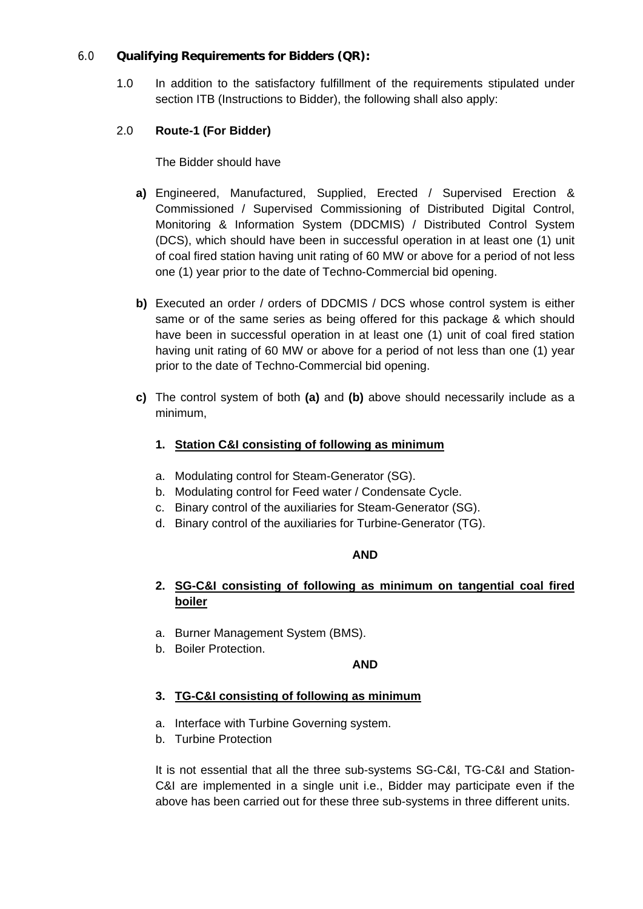#### 6.0 **Qualifying Requirements for Bidders (QR):**

1.0 In addition to the satisfactory fulfillment of the requirements stipulated under section ITB (Instructions to Bidder), the following shall also apply:

### 2.0 **Route-1 (For Bidder)**

The Bidder should have

- **a)** Engineered, Manufactured, Supplied, Erected / Supervised Erection & Commissioned / Supervised Commissioning of Distributed Digital Control, Monitoring & Information System (DDCMIS) / Distributed Control System (DCS), which should have been in successful operation in at least one (1) unit of coal fired station having unit rating of 60 MW or above for a period of not less one (1) year prior to the date of Techno-Commercial bid opening.
- **b)** Executed an order / orders of DDCMIS / DCS whose control system is either same or of the same series as being offered for this package & which should have been in successful operation in at least one (1) unit of coal fired station having unit rating of 60 MW or above for a period of not less than one (1) year prior to the date of Techno-Commercial bid opening.
- **c)** The control system of both **(a)** and **(b)** above should necessarily include as a minimum,

### **1. Station C&I consisting of following as minimum**

- a. Modulating control for Steam-Generator (SG).
- b. Modulating control for Feed water / Condensate Cycle.
- c. Binary control of the auxiliaries for Steam-Generator (SG).
- d. Binary control of the auxiliaries for Turbine-Generator (TG).

#### **AND**

### **2. SG-C&I consisting of following as minimum on tangential coal fired boiler**

- a. Burner Management System (BMS).
- b. Boiler Protection.

#### **AND**

#### **3. TG-C&I consisting of following as minimum**

- a. Interface with Turbine Governing system.
- b. Turbine Protection

It is not essential that all the three sub-systems SG-C&I, TG-C&I and Station-C&I are implemented in a single unit i.e., Bidder may participate even if the above has been carried out for these three sub-systems in three different units.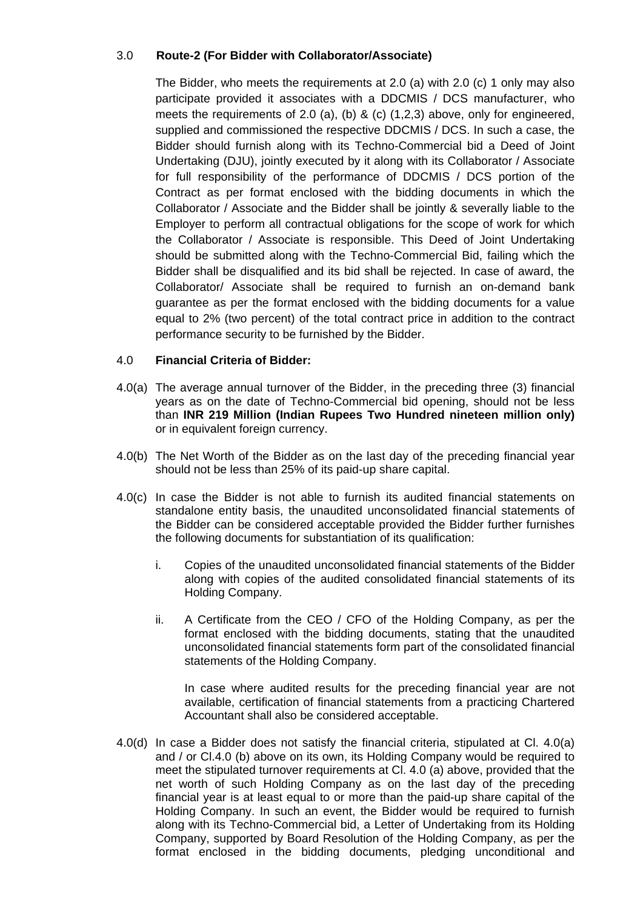#### 3.0 **Route-2 (For Bidder with Collaborator/Associate)**

The Bidder, who meets the requirements at 2.0 (a) with 2.0 (c) 1 only may also participate provided it associates with a DDCMIS / DCS manufacturer, who meets the requirements of 2.0 (a), (b) & (c)  $(1,2,3)$  above, only for engineered, supplied and commissioned the respective DDCMIS / DCS. In such a case, the Bidder should furnish along with its Techno-Commercial bid a Deed of Joint Undertaking (DJU), jointly executed by it along with its Collaborator / Associate for full responsibility of the performance of DDCMIS / DCS portion of the Contract as per format enclosed with the bidding documents in which the Collaborator / Associate and the Bidder shall be jointly & severally liable to the Employer to perform all contractual obligations for the scope of work for which the Collaborator / Associate is responsible. This Deed of Joint Undertaking should be submitted along with the Techno-Commercial Bid, failing which the Bidder shall be disqualified and its bid shall be rejected. In case of award, the Collaborator/ Associate shall be required to furnish an on-demand bank guarantee as per the format enclosed with the bidding documents for a value equal to 2% (two percent) of the total contract price in addition to the contract performance security to be furnished by the Bidder.

#### 4.0 **Financial Criteria of Bidder:**

- 4.0(a) The average annual turnover of the Bidder, in the preceding three (3) financial years as on the date of Techno-Commercial bid opening, should not be less than **INR 219 Million (Indian Rupees Two Hundred nineteen million only)** or in equivalent foreign currency.
- 4.0(b) The Net Worth of the Bidder as on the last day of the preceding financial year should not be less than 25% of its paid-up share capital.
- 4.0(c) In case the Bidder is not able to furnish its audited financial statements on standalone entity basis, the unaudited unconsolidated financial statements of the Bidder can be considered acceptable provided the Bidder further furnishes the following documents for substantiation of its qualification:
	- i. Copies of the unaudited unconsolidated financial statements of the Bidder along with copies of the audited consolidated financial statements of its Holding Company.
	- ii. A Certificate from the CEO / CFO of the Holding Company, as per the format enclosed with the bidding documents, stating that the unaudited unconsolidated financial statements form part of the consolidated financial statements of the Holding Company.

In case where audited results for the preceding financial year are not available, certification of financial statements from a practicing Chartered Accountant shall also be considered acceptable.

4.0(d) In case a Bidder does not satisfy the financial criteria, stipulated at Cl. 4.0(a) and / or Cl.4.0 (b) above on its own, its Holding Company would be required to meet the stipulated turnover requirements at Cl. 4.0 (a) above, provided that the net worth of such Holding Company as on the last day of the preceding financial year is at least equal to or more than the paid-up share capital of the Holding Company. In such an event, the Bidder would be required to furnish along with its Techno-Commercial bid, a Letter of Undertaking from its Holding Company, supported by Board Resolution of the Holding Company, as per the format enclosed in the bidding documents, pledging unconditional and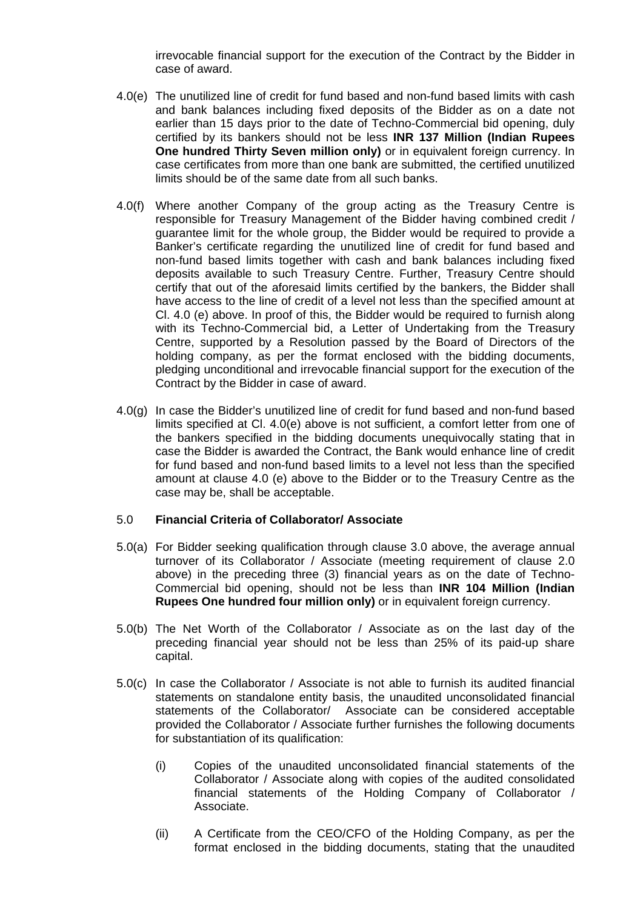irrevocable financial support for the execution of the Contract by the Bidder in case of award.

- 4.0(e) The unutilized line of credit for fund based and non-fund based limits with cash and bank balances including fixed deposits of the Bidder as on a date not earlier than 15 days prior to the date of Techno-Commercial bid opening, duly certified by its bankers should not be less **INR 137 Million (Indian Rupees One hundred Thirty Seven million only)** or in equivalent foreign currency. In case certificates from more than one bank are submitted, the certified unutilized limits should be of the same date from all such banks.
- 4.0(f) Where another Company of the group acting as the Treasury Centre is responsible for Treasury Management of the Bidder having combined credit / guarantee limit for the whole group, the Bidder would be required to provide a Banker's certificate regarding the unutilized line of credit for fund based and non-fund based limits together with cash and bank balances including fixed deposits available to such Treasury Centre. Further, Treasury Centre should certify that out of the aforesaid limits certified by the bankers, the Bidder shall have access to the line of credit of a level not less than the specified amount at Cl. 4.0 (e) above. In proof of this, the Bidder would be required to furnish along with its Techno-Commercial bid, a Letter of Undertaking from the Treasury Centre, supported by a Resolution passed by the Board of Directors of the holding company, as per the format enclosed with the bidding documents, pledging unconditional and irrevocable financial support for the execution of the Contract by the Bidder in case of award.
- 4.0(g) In case the Bidder's unutilized line of credit for fund based and non-fund based limits specified at Cl. 4.0(e) above is not sufficient, a comfort letter from one of the bankers specified in the bidding documents unequivocally stating that in case the Bidder is awarded the Contract, the Bank would enhance line of credit for fund based and non-fund based limits to a level not less than the specified amount at clause 4.0 (e) above to the Bidder or to the Treasury Centre as the case may be, shall be acceptable.

#### 5.0 **Financial Criteria of Collaborator/ Associate**

- 5.0(a) For Bidder seeking qualification through clause 3.0 above, the average annual turnover of its Collaborator / Associate (meeting requirement of clause 2.0 above) in the preceding three (3) financial years as on the date of Techno-Commercial bid opening, should not be less than **INR 104 Million (Indian Rupees One hundred four million only)** or in equivalent foreign currency.
- 5.0(b) The Net Worth of the Collaborator / Associate as on the last day of the preceding financial year should not be less than 25% of its paid-up share capital.
- 5.0(c) In case the Collaborator / Associate is not able to furnish its audited financial statements on standalone entity basis, the unaudited unconsolidated financial statements of the Collaborator/ Associate can be considered acceptable provided the Collaborator / Associate further furnishes the following documents for substantiation of its qualification:
	- (i) Copies of the unaudited unconsolidated financial statements of the Collaborator / Associate along with copies of the audited consolidated financial statements of the Holding Company of Collaborator / Associate.
	- (ii) A Certificate from the CEO/CFO of the Holding Company, as per the format enclosed in the bidding documents, stating that the unaudited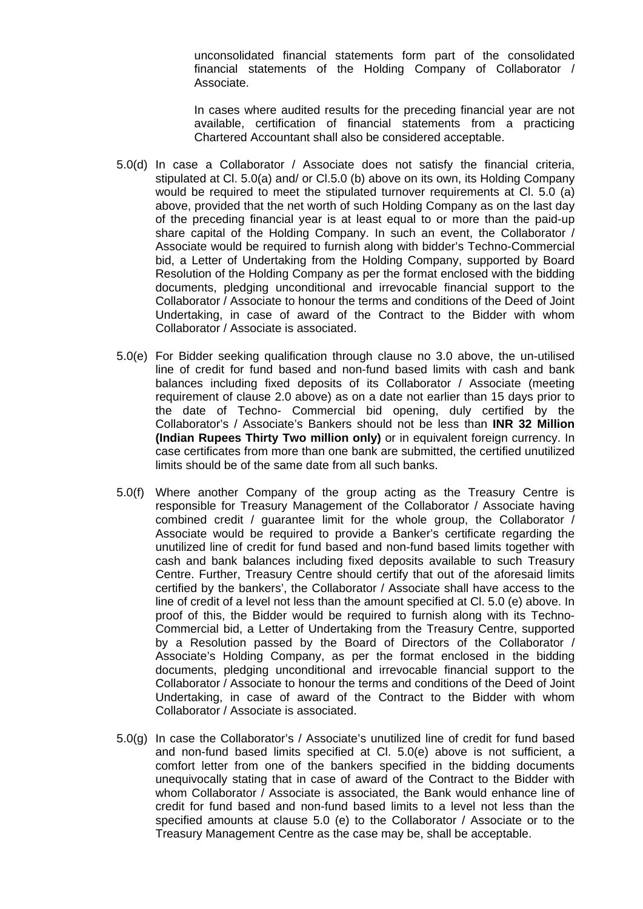unconsolidated financial statements form part of the consolidated financial statements of the Holding Company of Collaborator / Associate.

In cases where audited results for the preceding financial year are not available, certification of financial statements from a practicing Chartered Accountant shall also be considered acceptable.

- 5.0(d) In case a Collaborator / Associate does not satisfy the financial criteria, stipulated at Cl. 5.0(a) and/ or Cl.5.0 (b) above on its own, its Holding Company would be required to meet the stipulated turnover requirements at Cl. 5.0 (a) above, provided that the net worth of such Holding Company as on the last day of the preceding financial year is at least equal to or more than the paid-up share capital of the Holding Company. In such an event, the Collaborator / Associate would be required to furnish along with bidder's Techno-Commercial bid, a Letter of Undertaking from the Holding Company, supported by Board Resolution of the Holding Company as per the format enclosed with the bidding documents, pledging unconditional and irrevocable financial support to the Collaborator / Associate to honour the terms and conditions of the Deed of Joint Undertaking, in case of award of the Contract to the Bidder with whom Collaborator / Associate is associated.
- 5.0(e) For Bidder seeking qualification through clause no 3.0 above, the un-utilised line of credit for fund based and non-fund based limits with cash and bank balances including fixed deposits of its Collaborator / Associate (meeting requirement of clause 2.0 above) as on a date not earlier than 15 days prior to the date of Techno- Commercial bid opening, duly certified by the Collaborator's / Associate's Bankers should not be less than **INR 32 Million (Indian Rupees Thirty Two million only)** or in equivalent foreign currency. In case certificates from more than one bank are submitted, the certified unutilized limits should be of the same date from all such banks.
- 5.0(f) Where another Company of the group acting as the Treasury Centre is responsible for Treasury Management of the Collaborator / Associate having combined credit / guarantee limit for the whole group, the Collaborator / Associate would be required to provide a Banker's certificate regarding the unutilized line of credit for fund based and non-fund based limits together with cash and bank balances including fixed deposits available to such Treasury Centre. Further, Treasury Centre should certify that out of the aforesaid limits certified by the bankers', the Collaborator / Associate shall have access to the line of credit of a level not less than the amount specified at Cl. 5.0 (e) above. In proof of this, the Bidder would be required to furnish along with its Techno-Commercial bid, a Letter of Undertaking from the Treasury Centre, supported by a Resolution passed by the Board of Directors of the Collaborator / Associate's Holding Company, as per the format enclosed in the bidding documents, pledging unconditional and irrevocable financial support to the Collaborator / Associate to honour the terms and conditions of the Deed of Joint Undertaking, in case of award of the Contract to the Bidder with whom Collaborator / Associate is associated.
- 5.0(g) In case the Collaborator's / Associate's unutilized line of credit for fund based and non-fund based limits specified at Cl. 5.0(e) above is not sufficient, a comfort letter from one of the bankers specified in the bidding documents unequivocally stating that in case of award of the Contract to the Bidder with whom Collaborator / Associate is associated, the Bank would enhance line of credit for fund based and non-fund based limits to a level not less than the specified amounts at clause 5.0 (e) to the Collaborator / Associate or to the Treasury Management Centre as the case may be, shall be acceptable.